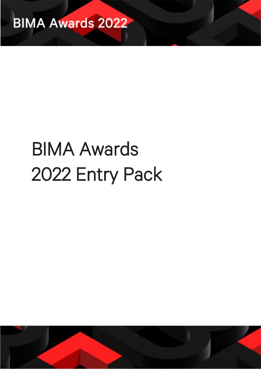

# BIMA Awards 2022 Entry Pack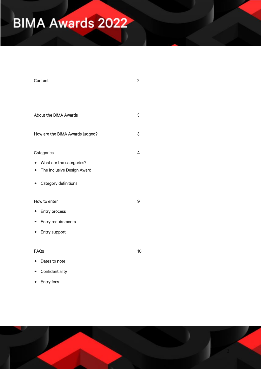| Content                                 | $\overline{c}$ |
|-----------------------------------------|----------------|
|                                         |                |
|                                         |                |
| About the BIMA Awards                   | 3              |
| How are the BIMA Awards judged?         | 3              |
| Categories                              | 4              |
| What are the categories?<br>$\bullet$   |                |
| The Inclusive Design Award<br>$\bullet$ |                |
| Category definitions                    |                |
| How to enter                            | 9              |
| Entry process                           |                |
| Entry requirements<br>$\bullet$         |                |
| Entry support<br>$\bullet$              |                |
|                                         |                |
| FAQs                                    | 10             |
| Dates to note                           |                |
| Confidentiality                         |                |
| Entry fees<br>$\bullet$                 |                |

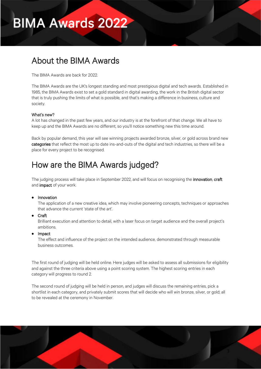### About the BIMA Awards

The BIMA Awards are back for 2022.

The BIMA Awards are the UK's longest standing and most prestigious digital and tech awards. Established in 1985, the BIMA Awards exist to set a gold standard in digital awarding, the work in the British digital sector that is truly pushing the limits of what is possible, and that's making a difference in business, culture and society.

#### What's new?

Ĩ

A lot has changed in the past few years, and our industry is at the forefront of that change. We all have to keep up and the BIMA Awards are no different, so you'll notice something new this time around.

Back by popular demand, this year will see winning projects awarded bronze, silver, or gold across brand new categories that reflect the most up to date ins-and-outs of the digital and tech industries, so there will be a place for every project to be recognised.

### How are the BIMA Awards judged?

The judging process will take place in September 2022, and will focus on recognising the innovation, craft and **impact** of your work.

#### • Innovation

The application of a new creative idea, which may involve pioneering concepts, techniques or approaches that advance the current 'state of the art'.

#### • Craft

Brilliant execution and attention to detail, with a laser focus on target audience and the overall project's ambitions.

#### • Impact

The effect and influence of the project on the intended audience, demonstrated through measurable business outcomes.

The first round of judging will be held online. Here judges will be asked to assess all submissions for eligibility and against the three criteria above using a point scoring system. The highest scoring entries in each category will progress to round 2.

The second round of judging will be held in person, and judges will discuss the remaining entries, pick a shortlist in each category, and privately submit scores that will decide who will win bronze, silver, or gold; all to be revealed at the ceremony in November.

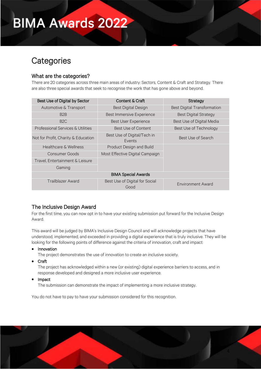### **Categories**

#### What are the categories?

There are 20 categories across three main areas of industry: Sectors, Content & Craft and Strategy. There are also three special awards that seek to recognise the work that has gone above and beyond.

| Best Use of Digital by Sector       | Content & Craft                        | Strategy                           |  |
|-------------------------------------|----------------------------------------|------------------------------------|--|
| Automotive & Transport              | <b>Best Digital Design</b>             | <b>Best Digital Transformation</b> |  |
| B <sub>2</sub> B                    | <b>Best Immersive Experience</b>       | <b>Best Digital Strategy</b>       |  |
| B2C                                 | <b>Best User Experience</b>            | Best Use of Digital Media          |  |
| Professional Services & Utilities   | Best Use of Content                    | Best Use of Technology             |  |
| Not for Profit, Charity & Education | Best Use of Digital/Tech in<br>Events  | Best Use of Search                 |  |
| <b>Healthcare &amp; Wellness</b>    | Product Design and Build               |                                    |  |
| Consumer Goods                      | Most Effective Digital Campaign        |                                    |  |
| Travel, Entertainment & Leisure     |                                        |                                    |  |
| Gaming                              |                                        |                                    |  |
| <b>BIMA Special Awards</b>          |                                        |                                    |  |
| <b>Trailblazer Award</b>            | Best Use of Digital for Social<br>Good | <b>Environment Award</b>           |  |

#### The Inclusive Design Award

For the first time, you can now opt in to have your existing submission put forward for the Inclusive Design Award.

This award will be judged by BIMA's Inclusive Design Council and will acknowledge projects that have understood, implemented, and exceeded in providing a digital experience that is truly inclusive. They will be looking for the following points of difference against the criteria of innovation, craft and impact:

• Innovation

The project demonstrates the use of innovation to create an inclusive society.

• Craft

The project has acknowledged within a new (or existing) digital experience barriers to access, and in response developed and designed a more inclusive user experience.

• Impact

The submission can demonstrate the impact of implementing a more inclusive strategy.

You do not have to pay to have your submission considered for this recognition.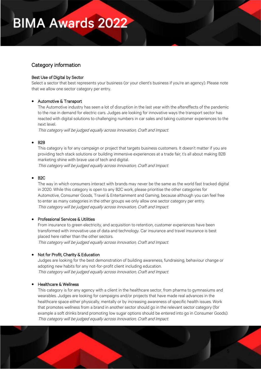#### Category information

#### Best Use of Digital by Sector

Select a sector that best represents your business (or your client's business if you're an agency). Please note that we allow one sector category per entry.

#### • Automotive & Transport

The Automotive industry has seen a lot of disruption in the last year with the aftereffects of the pandemic to the rise in demand for electric cars. Judges are looking for innovative ways the transport sector has reacted with digital solutions to challenging numbers in car sales and taking customer experiences to the next level.

This category will be judged equally across Innovation, Craft and Impact.

#### • B2B

This category is for any campaign or project that targets business customers. It doesn't matter if you are providing tech stack solutions or building immersive experiences at a trade fair, t's all about making B2B marketing shine with brave use of tech and digital.

This category will be judged equally across Innovation, Craft and Impact.

#### • B2C

The way in which consumers interact with brands may never be the same as the world fast tracked digital in 2020. While this category is open to any B2C work, please prioritise the other categories for Automotive, Consumer Goods, Travel & Entertainment and Gaming, because although you can feel free to enter as many categories in the other groups we only allow one sector category per entry. This category will be judged equally across Innovation, Craft and Impact.

#### • Professional Services & Utilities

From insurance to green electricity, and acquisition to retention, customer experiences have been transformed with innovative use of data and technology. Car insurance and travel insurance is best placed here rather than the other sectors.

This category will be judged equally across Innovation, Craft and Impact.

#### • Not for Profit, Charity & Education

Judges are looking for the best demonstration of building awareness, fundraising, behaviour change or adopting new habits for any not-for-profit client including education. This category will be judged equally across Innovation, Craft and Impact.

#### • Healthcare & Wellness

This category is for any agency with a client in the healthcare sector, from pharma to gymnasiums and wearables. Judges are looking for campaigns and/or projects that have made real advances in the healthcare space either physically, mentally or by increasing awareness of specific health issues. Work that promotes wellness from a brand in another sector should go in the relevant sector category (for example a soft drinks brand promoting low sugar options should be entered into go in Consumer Goods). This category will be judged equally across Innovation, Craft and Impact.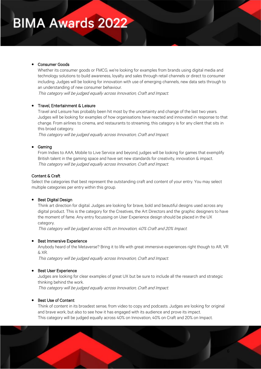#### • Consumer Goods

Whether its consumer goods or FMCG, we're looking for examples from brands using digital media and technology solutions to build awareness, loyalty and sales through retail channels or direct to consumer including. Judges will be looking for innovation with use of emerging channels, new data sets through to an understanding of new consumer behaviour.

This category will be judged equally across Innovation, Craft and Impact.

#### • Travel, Entertainment & Leisure

Travel and Leisure has probably been hit most by the uncertainty and change of the last two years. Judges will be looking for examples of how organisations have reacted and innovated in response to that change. From airlines to cinema, and restaurants to streaming, this category is for any client that sits in this broad category.

This category will be judged equally across Innovation, Craft and Impact.

#### • Gaming

From Indies to AAA, Mobile to Live Service and beyond, judges will be looking for games that exemplify British talent in the gaming space and have set new standards for creativity, innovation & impact. This category will be judged equally across Innovation, Craft and Impact.

#### Content & Craft

Select the categories that best represent the outstanding craft and content of your entry. You may select multiple categories per entry within this group.

#### • Best Digital Design

Think art direction for digital. Judges are looking for brave, bold and beautiful designs used across any digital product. This is the category for the Creatives, the Art Directors and the graphic designers to have the moment of fame. Any entry focussing on User Experience design should be placed in the UX category.

This category will be judged across 40% on Innovation, 40% Craft and 20% Impact.

#### **Best Immersive Experience**

Anybody heard of the Metaverse? Bring it to life with great immersive experiences right though to AR, VR & XR.

This category will be judged equally across Innovation, Craft and Impact.

#### **Best User Experience**

Judges are looking for clear examples of great UX but be sure to include all the research and strategic thinking behind the work.

This category will be judged equally across Innovation, Craft and Impact.

#### Best Use of Content

Think of content in its broadest sense, from video to copy and podcasts. Judges are looking for original and brave work, but also to see how it has engaged with its audience and prove its impact. This category will be judged equally across 40% on Innovation, 40% on Craft and 20% on Impact.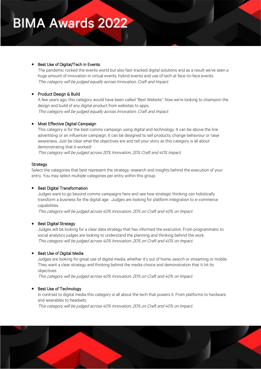#### • Best Use of Digital/Tech in Events

The pandemic rocked the events world but also fast-tracked digital solutions and as a result we've seen a huge amount of innovation in virtual events, hybrid events and use of tech at face-to-face events. This category will be judged equally across Innovation, Craft and Impact.

#### • Product Design & Build

A few years ago, this category would have been called "Best Website". Now we're looking to champion the design and build of any digital product from websites to apps. This category will be judged equally across Innovation, Craft and Impact.

#### • Most Effective Digital Campaign

This category is for the best comms campaign using digital and technology. It can be above the line advertising or an influencer campaign. It can be designed to sell products, change behaviour or raise awareness. Just be clear what the objectives are and tell your story as this category is all about demonstrating that it worked!

This category will be judged across 20% Innovation, 20% Craft and 40% Impact.

#### Strategy

Select the categories that best represent the strategy, research and insights behind the execution of your entry. You may select multiple categories per entry within this group.

#### • Best Digital Transformation

Judges want to go beyond comms campaigns here and see how strategic thinking can holistically transform a business for the digital age. Judges are looking for platform integration to e-commerce capabilities.

This category will be judged across 40% Innovation, 20% on Craft and 40% on Impact.

#### • Best Digital Strategy

Judges will be looking for a clear data strategy that has informed the execution. From programmatic to social analytics judges are looking to understand the planning and thinking behind the work. This category will be judged across 40% Innovation, 20% on Craft and 40% on Impact.

#### • Best Use of Digital Media

Judges are looking for great use of digital media, whether it's out of home, search or streaming or mobile. They want a clear strategy and thinking behind the media choice and demonstration that it hit its objectives.

This category will be judged across 40% Innovation, 20% on Craft and 40% on Impact.

#### Best Use of Technology

In contrast to digital media this category is all about the tech that powers it. From platforms to hardware and wearables to headsets.

This category will be judged across 40% Innovation, 20% on Craft and 40% on Impact.

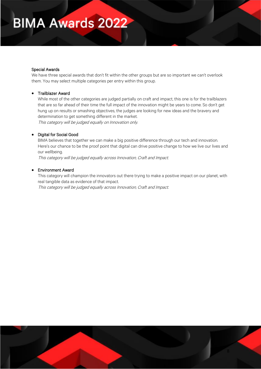#### Special Awards

We have three special awards that don't fit within the other groups but are so important we can't overlook them. You may select multiple categories per entry within this group.

#### • Trailblazer Award

While most of the other categories are judged partially on craft and impact, this one is for the trailblazers that are so far ahead of their time the full impact of the innovation might be years to come. So don't get hung up on results or smashing objectives, the judges are looking for new ideas and the bravery and determination to get something different in the market.

This category will be judged equally on Innovation only.

#### • Digital for Social Good

BIMA believes that together we can make a big positive difference through our tech and innovation. Here's our chance to be the proof point that digital can drive positive change to how we live our lives and our wellbeing.

This category will be judged equally across Innovation, Craft and Impact.

#### • Environment Award

This category will champion the innovators out there trying to make a positive impact on our planet, with real tangible data as evidence of that impact. This category will be judged equally across Innovation, Craft and Impact.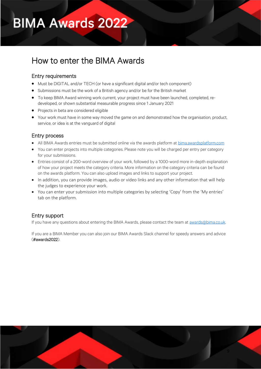### How to enter the BIMA Awards

#### Entry requirements

Ĩ

- Must be DIGITAL and/or TECH (or have a significant digital and/or tech component)
- Submissions must be the work of a British agency and/or be for the British market
- To keep BIMA Award winning work current, your project must have been launched, completed, redeveloped, or shown substantial measurable progress since 1 January 2021
- Projects in beta are considered eligible
- Your work must have in some way moved the game on and demonstrated how the organisation, product, service, or idea is at the vanguard of digital

#### Entry process

- All BIMA Awards entries must be submitted online via the awards platform at [bima.awardsplatform.com](http://bima.awardsplatform.com/)
- You can enter projects into multiple categories. Please note you will be charged per entry per category for your submissions.
- Entries consist of a 200-word overview of your work, followed by a 1000-word more in-depth explanation of how your project meets the category criteria. More information on the category criteria can be found on the awards platform. You can also upload images and links to support your project.
- In addition, you can provide images, audio or video links and any other information that will help the judges to experience your work.
- You can enter your submission into multiple categories by selecting 'Copy' from the 'My entries' tab on the platform.

#### Entry support

If you have any questions about entering the BIMA Awards, please contact the team at **awards@bima.co.uk.** 

If you are a BIMA Member you can also join our BIMA Awards Slack channel for speedy answers and advice (#awards2022).